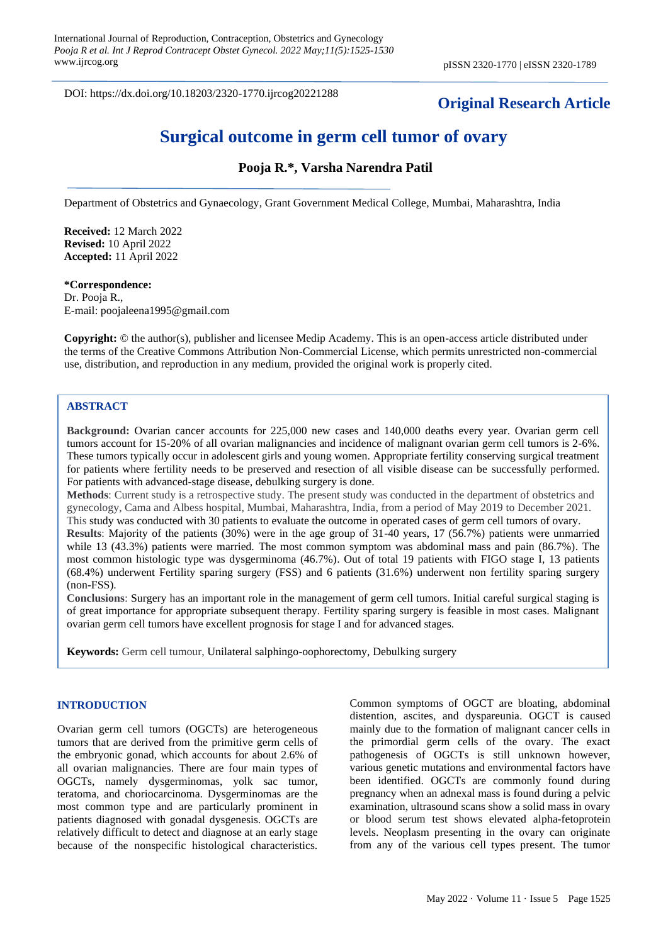DOI: https://dx.doi.org/10.18203/2320-1770.ijrcog20221288

## **Original Research Article**

# **Surgical outcome in germ cell tumor of ovary**

## **Pooja R.\*, Varsha Narendra Patil**

Department of Obstetrics and Gynaecology, Grant Government Medical College, Mumbai, Maharashtra, India

**Received:** 12 March 2022 **Revised:** 10 April 2022 **Accepted:** 11 April 2022

#### **\*Correspondence:**

Dr. Pooja R., E-mail[: poojaleena1995@gmail.com](mailto:poojaleena1995@gmail.com)

**Copyright:** © the author(s), publisher and licensee Medip Academy. This is an open-access article distributed under the terms of the Creative Commons Attribution Non-Commercial License, which permits unrestricted non-commercial use, distribution, and reproduction in any medium, provided the original work is properly cited.

#### **ABSTRACT**

**Background:** Ovarian cancer accounts for 225,000 new cases and 140,000 deaths every year. Ovarian germ cell tumors account for 15-20% of all ovarian malignancies and incidence of malignant ovarian germ cell tumors is 2-6%. These tumors typically occur in adolescent girls and young women. Appropriate fertility conserving surgical treatment for patients where fertility needs to be preserved and resection of all visible disease can be successfully performed. For patients with advanced-stage disease, debulking surgery is done.

**Methods**: Current study is a retrospective study. The present study was conducted in the department of obstetrics and gynecology, Cama and Albess hospital, Mumbai, Maharashtra, India, from a period of May 2019 to December 2021. This study was conducted with 30 patients to evaluate the outcome in operated cases of germ cell tumors of ovary.

**Results**: Majority of the patients (30%) were in the age group of 31-40 years, 17 (56.7%) patients were unmarried while 13 (43.3%) patients were married. The most common symptom was abdominal mass and pain (86.7%). The most common histologic type was dysgerminoma (46.7%). Out of total 19 patients with FIGO stage I, 13 patients (68.4%) underwent Fertility sparing surgery (FSS) and 6 patients (31.6%) underwent non fertility sparing surgery (non-FSS).

**Conclusions**: Surgery has an important role in the management of germ cell tumors. Initial careful surgical staging is of great importance for appropriate subsequent therapy. Fertility sparing surgery is feasible in most cases. Malignant ovarian germ cell tumors have excellent prognosis for stage I and for advanced stages.

**Keywords:** Germ cell tumour, Unilateral salphingo-oophorectomy, Debulking surgery

#### **INTRODUCTION**

Ovarian germ cell tumors (OGCTs) are heterogeneous tumors that are derived from the primitive germ cells of the embryonic gonad, which accounts for about 2.6% of all ovarian malignancies. There are four main types of OGCTs, namely dysgerminomas, yolk sac tumor, teratoma, and choriocarcinoma. Dysgerminomas are the most common type and are particularly prominent in patients diagnosed with gonadal dysgenesis. OGCTs are relatively difficult to detect and diagnose at an early stage because of the nonspecific histological characteristics.

Common symptoms of OGCT are bloating, abdominal distention, ascites, and dyspareunia. OGCT is caused mainly due to the formation of malignant cancer cells in the primordial germ cells of the ovary. The exact pathogenesis of OGCTs is still unknown however, various genetic mutations and environmental factors have been identified. OGCTs are commonly found during pregnancy when an adnexal mass is found during a pelvic examination, ultrasound scans show a solid mass in ovary or blood serum test shows elevated alpha-fetoprotein levels. Neoplasm presenting in the ovary can originate from any of the various cell types present. The tumor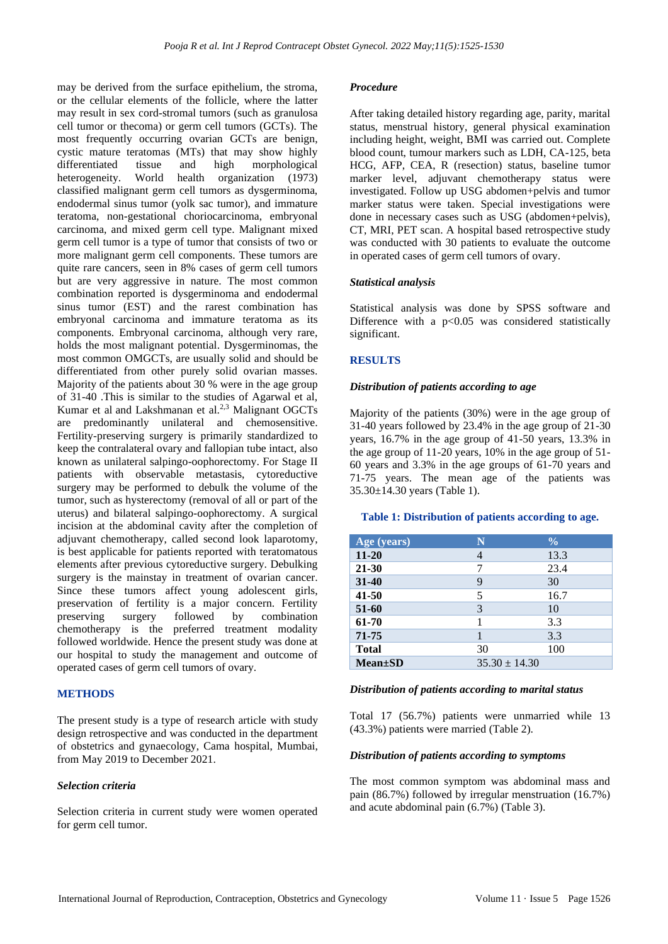may be derived from the surface epithelium, the stroma, or the cellular elements of the follicle, where the latter may result in sex cord-stromal tumors (such as granulosa cell tumor or thecoma) or germ cell tumors (GCTs). The most frequently occurring ovarian GCTs are benign, cystic mature teratomas (MTs) that may show highly differentiated tissue and high morphological heterogeneity. World health organization (1973) classified malignant germ cell tumors as dysgerminoma, endodermal sinus tumor (yolk sac tumor), and immature teratoma, non-gestational choriocarcinoma, embryonal carcinoma, and mixed germ cell type. Malignant mixed germ cell tumor is a type of tumor that consists of two or more malignant germ cell components. These tumors are quite rare cancers, seen in 8% cases of germ cell tumors but are very aggressive in nature. The most common combination reported is dysgerminoma and endodermal sinus tumor (EST) and the rarest combination has embryonal carcinoma and immature teratoma as its components. Embryonal carcinoma, although very rare, holds the most malignant potential. Dysgerminomas, the most common OMGCTs, are usually solid and should be differentiated from other purely solid ovarian masses. Majority of the patients about 30 % were in the age group of 31-40 .This is similar to the studies of Agarwal et al, Kumar et al and Lakshmanan et al.<sup>2,3</sup> Malignant OGCTs are predominantly unilateral and chemosensitive. Fertility-preserving surgery is primarily standardized to keep the contralateral ovary and fallopian tube intact, also known as unilateral salpingo-oophorectomy. For Stage II patients with observable metastasis, cytoreductive surgery may be performed to debulk the volume of the tumor, such as hysterectomy (removal of all or part of the uterus) and bilateral salpingo-oophorectomy. A surgical incision at the abdominal cavity after the completion of adjuvant chemotherapy, called second look laparotomy, is best applicable for patients reported with teratomatous elements after previous cytoreductive surgery. Debulking surgery is the mainstay in treatment of ovarian cancer. Since these tumors affect young adolescent girls, preservation of fertility is a major concern. Fertility preserving surgery followed by combination chemotherapy is the preferred treatment modality followed worldwide. Hence the present study was done at our hospital to study the management and outcome of operated cases of germ cell tumors of ovary.

#### **METHODS**

The present study is a type of research article with study design retrospective and was conducted in the department of obstetrics and gynaecology, Cama hospital, Mumbai, from May 2019 to December 2021.

#### *Selection criteria*

Selection criteria in current study were women operated for germ cell tumor.

#### *Procedure*

After taking detailed history regarding age, parity, marital status, menstrual history, general physical examination including height, weight, BMI was carried out. Complete blood count, tumour markers such as LDH, CA-125, beta HCG, AFP, CEA, R (resection) status, baseline tumor marker level, adjuvant chemotherapy status were investigated. Follow up USG abdomen+pelvis and tumor marker status were taken. Special investigations were done in necessary cases such as USG (abdomen+pelvis), CT, MRI, PET scan. A hospital based retrospective study was conducted with 30 patients to evaluate the outcome in operated cases of germ cell tumors of ovary.

#### *Statistical analysis*

Statistical analysis was done by SPSS software and Difference with a  $p<0.05$  was considered statistically significant.

#### **RESULTS**

#### *Distribution of patients according to age*

Majority of the patients (30%) were in the age group of 31-40 years followed by 23.4% in the age group of 21-30 years, 16.7% in the age group of 41-50 years, 13.3% in the age group of 11-20 years, 10% in the age group of 51- 60 years and 3.3% in the age groups of 61-70 years and 71-75 years. The mean age of the patients was 35.30±14.30 years (Table 1).

#### **Table 1: Distribution of patients according to age.**

| Age (years)   | N                 | $\frac{0}{0}$ |
|---------------|-------------------|---------------|
| $11 - 20$     | 4                 | 13.3          |
| $21 - 30$     | 7                 | 23.4          |
| 31-40         | 9                 | 30            |
| $41 - 50$     | 5                 | 16.7          |
| 51-60         | 3                 | 10            |
| 61-70         |                   | 3.3           |
| 71-75         |                   | 3.3           |
| <b>Total</b>  | 30                | 100           |
| $Mean \pm SD$ | $35.30 \pm 14.30$ |               |

#### *Distribution of patients according to marital status*

Total 17 (56.7%) patients were unmarried while 13 (43.3%) patients were married (Table 2).

## *Distribution of patients according to symptoms*

The most common symptom was abdominal mass and pain (86.7%) followed by irregular menstruation (16.7%) and acute abdominal pain (6.7%) (Table 3).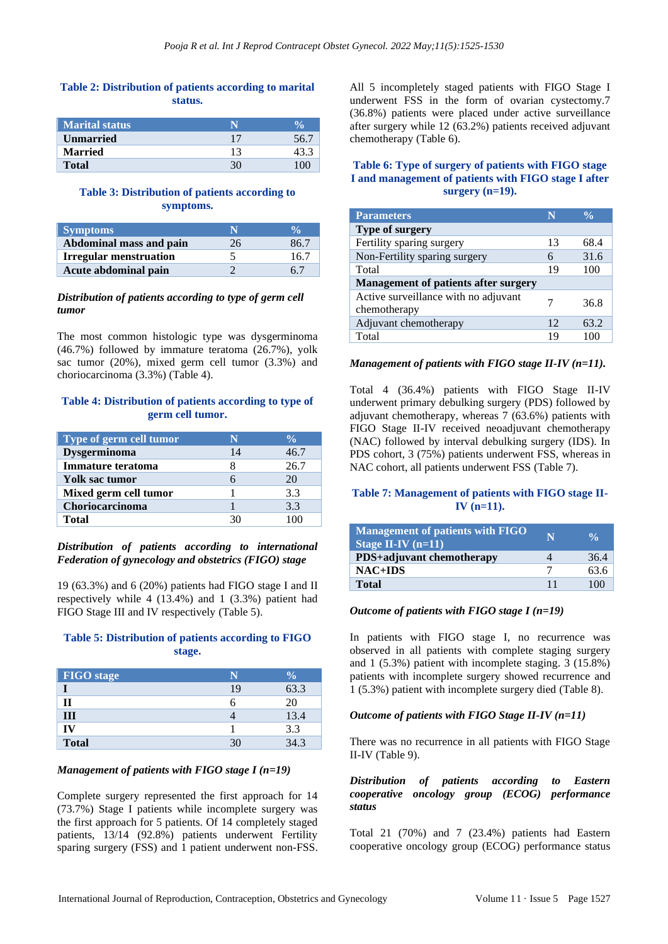## **Table 2: Distribution of patients according to marital status.**

| <b>Marital status</b> |    |  |
|-----------------------|----|--|
| <b>Unmarried</b>      | 17 |  |
| <b>Married</b>        |    |  |
| <b>Total</b>          |    |  |

## **Table 3: Distribution of patients according to symptoms.**

| <b>Symptoms</b>               | N  |      |
|-------------------------------|----|------|
| Abdominal mass and pain       | 26 | 86.7 |
| <b>Irregular menstruation</b> |    | 16.7 |
| Acute abdominal pain          |    | 67   |

#### *Distribution of patients according to type of germ cell tumor*

The most common histologic type was dysgerminoma (46.7%) followed by immature teratoma (26.7%), yolk sac tumor (20%), mixed germ cell tumor (3.3%) and choriocarcinoma (3.3%) (Table 4).

#### **Table 4: Distribution of patients according to type of germ cell tumor.**

| Type of germ cell tumor  |    | $\frac{0}{\sqrt{2}}$ |
|--------------------------|----|----------------------|
| Dysgerminoma             | 14 | 46.7                 |
| <b>Immature teratoma</b> |    | 26.7                 |
| Yolk sac tumor           |    | 20                   |
| Mixed germ cell tumor    |    | 3.3                  |
| Choriocarcinoma          |    | 3.3                  |
| Total                    |    |                      |

## *Distribution of patients according to international Federation of gynecology and obstetrics (FIGO) stage*

19 (63.3%) and 6 (20%) patients had FIGO stage I and II respectively while 4 (13.4%) and 1 (3.3%) patient had FIGO Stage III and IV respectively (Table 5).

## **Table 5: Distribution of patients according to FIGO stage.**

| <b>FIGO</b> stage | N  | $\overline{\mathbf{0}}_0$ |
|-------------------|----|---------------------------|
|                   | 19 | 63.3                      |
| $\mathbf{I}$      | n  | 20                        |
| III               |    | 13.4                      |
| IV                |    | 3.3                       |
| <b>Total</b>      | 30 | 34.3                      |

## *Management of patients with FIGO stage I (n=19)*

Complete surgery represented the first approach for 14 (73.7%) Stage I patients while incomplete surgery was the first approach for 5 patients. Of 14 completely staged patients, 13/14 (92.8%) patients underwent Fertility sparing surgery (FSS) and 1 patient underwent non-FSS. All 5 incompletely staged patients with FIGO Stage I underwent FSS in the form of ovarian cystectomy.7 (36.8%) patients were placed under active surveillance after surgery while 12 (63.2%) patients received adjuvant chemotherapy (Table 6).

## **Table 6: Type of surgery of patients with FIGO stage I and management of patients with FIGO stage I after surgery (n=19).**

| <b>Parameters</b>                                    |    | $\frac{0}{\alpha}$ |  |
|------------------------------------------------------|----|--------------------|--|
| Type of surgery                                      |    |                    |  |
| Fertility sparing surgery                            | 13 | 68.4               |  |
| Non-Fertility sparing surgery                        | 6  | 31.6               |  |
| Total                                                | 19 | 100                |  |
| <b>Management of patients after surgery</b>          |    |                    |  |
| Active surveillance with no adjuvant<br>chemotherapy |    | 36.8               |  |
| Adjuvant chemotherapy                                | 12 | 63.2               |  |
| Total                                                | 19 |                    |  |

#### *Management of patients with FIGO stage II-IV (n=11).*

Total 4 (36.4%) patients with FIGO Stage II-IV underwent primary debulking surgery (PDS) followed by adjuvant chemotherapy, whereas 7 (63.6%) patients with FIGO Stage II-IV received neoadjuvant chemotherapy (NAC) followed by interval debulking surgery (IDS). In PDS cohort, 3 (75%) patients underwent FSS, whereas in NAC cohort, all patients underwent FSS (Table 7).

## **Table 7: Management of patients with FIGO stage II-IV (n=11).**

| <b>Management of patients with FIGO</b><br>Stage II-IV $(n=11)$ | N | $\frac{0}{\alpha}$ |
|-----------------------------------------------------------------|---|--------------------|
| PDS+adjuvant chemotherapy                                       |   | 36.4               |
| $NAC+IDS$                                                       |   | 63.6               |
| <b>Total</b>                                                    |   | 100                |

## *Outcome of patients with FIGO stage I (n=19)*

In patients with FIGO stage I, no recurrence was observed in all patients with complete staging surgery and 1 (5.3%) patient with incomplete staging. 3 (15.8%) patients with incomplete surgery showed recurrence and 1 (5.3%) patient with incomplete surgery died (Table 8).

## *Outcome of patients with FIGO Stage II-IV (n=11)*

There was no recurrence in all patients with FIGO Stage II-IV (Table 9).

#### *Distribution of patients according to Eastern cooperative oncology group (ECOG) performance status*

Total 21 (70%) and 7 (23.4%) patients had Eastern cooperative oncology group (ECOG) performance status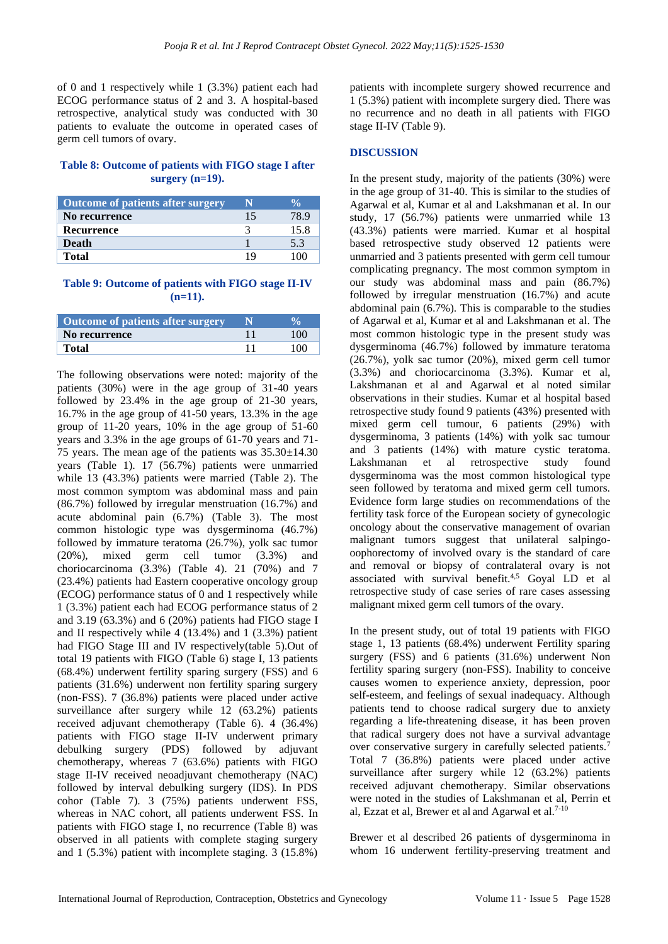of 0 and 1 respectively while 1 (3.3%) patient each had ECOG performance status of 2 and 3. A hospital-based retrospective, analytical study was conducted with 30 patients to evaluate the outcome in operated cases of germ cell tumors of ovary.

## **Table 8: Outcome of patients with FIGO stage I after surgery (n=19).**

| Outcome of patients after surgery |    |      |
|-----------------------------------|----|------|
| No recurrence                     | 15 | 78.9 |
| Recurrence                        |    | 15.8 |
| <b>Death</b>                      |    | 5.3  |
| Total                             | 19 | 100  |

#### **Table 9: Outcome of patients with FIGO stage II-IV (n=11).**

| <b>Outcome of patients after surgery</b> |     |
|------------------------------------------|-----|
| No recurrence                            | 100 |
| <b>Total</b>                             | 100 |

The following observations were noted: majority of the patients (30%) were in the age group of 31-40 years followed by 23.4% in the age group of 21-30 years, 16.7% in the age group of 41-50 years, 13.3% in the age group of 11-20 years, 10% in the age group of 51-60 years and 3.3% in the age groups of 61-70 years and 71- 75 years. The mean age of the patients was  $35.30\pm14.30$ years (Table 1). 17 (56.7%) patients were unmarried while 13 (43.3%) patients were married (Table 2). The most common symptom was abdominal mass and pain (86.7%) followed by irregular menstruation (16.7%) and acute abdominal pain (6.7%) (Table 3). The most common histologic type was dysgerminoma (46.7%) followed by immature teratoma (26.7%), yolk sac tumor (20%), mixed germ cell tumor (3.3%) and choriocarcinoma (3.3%) (Table 4). 21 (70%) and 7 (23.4%) patients had Eastern cooperative oncology group (ECOG) performance status of 0 and 1 respectively while 1 (3.3%) patient each had ECOG performance status of 2 and 3.19 (63.3%) and 6 (20%) patients had FIGO stage I and II respectively while 4 (13.4%) and 1 (3.3%) patient had FIGO Stage III and IV respectively(table 5).Out of total 19 patients with FIGO (Table 6) stage I, 13 patients (68.4%) underwent fertility sparing surgery (FSS) and 6 patients (31.6%) underwent non fertility sparing surgery (non-FSS). 7 (36.8%) patients were placed under active surveillance after surgery while 12 (63.2%) patients received adjuvant chemotherapy (Table 6). 4 (36.4%) patients with FIGO stage II-IV underwent primary debulking surgery (PDS) followed by adjuvant chemotherapy, whereas 7 (63.6%) patients with FIGO stage II-IV received neoadjuvant chemotherapy (NAC) followed by interval debulking surgery (IDS). In PDS cohor (Table 7). 3 (75%) patients underwent FSS, whereas in NAC cohort, all patients underwent FSS. In patients with FIGO stage I, no recurrence (Table 8) was observed in all patients with complete staging surgery and 1 (5.3%) patient with incomplete staging. 3 (15.8%) patients with incomplete surgery showed recurrence and 1 (5.3%) patient with incomplete surgery died. There was no recurrence and no death in all patients with FIGO stage II-IV (Table 9).

## **DISCUSSION**

In the present study, majority of the patients (30%) were in the age group of 31-40. This is similar to the studies of Agarwal et al, Kumar et al and Lakshmanan et al. In our study, 17 (56.7%) patients were unmarried while 13 (43.3%) patients were married. Kumar et al hospital based retrospective study observed 12 patients were unmarried and 3 patients presented with germ cell tumour complicating pregnancy. The most common symptom in our study was abdominal mass and pain (86.7%) followed by irregular menstruation (16.7%) and acute abdominal pain (6.7%). This is comparable to the studies of Agarwal et al, Kumar et al and Lakshmanan et al. The most common histologic type in the present study was dysgerminoma (46.7%) followed by immature teratoma (26.7%), yolk sac tumor (20%), mixed germ cell tumor (3.3%) and choriocarcinoma (3.3%). Kumar et al, Lakshmanan et al and Agarwal et al noted similar observations in their studies. Kumar et al hospital based retrospective study found 9 patients (43%) presented with mixed germ cell tumour, 6 patients (29%) with dysgerminoma, 3 patients (14%) with yolk sac tumour and 3 patients (14%) with mature cystic teratoma. Lakshmanan et al retrospective study found dysgerminoma was the most common histological type seen followed by teratoma and mixed germ cell tumors. Evidence form large studies on recommendations of the fertility task force of the European society of gynecologic oncology about the conservative management of ovarian malignant tumors suggest that unilateral salpingooophorectomy of involved ovary is the standard of care and removal or biopsy of contralateral ovary is not associated with survival benefit.<sup>4,5</sup> Goyal LD et al retrospective study of case series of rare cases assessing malignant mixed germ cell tumors of the ovary.

In the present study, out of total 19 patients with FIGO stage 1, 13 patients (68.4%) underwent Fertility sparing surgery (FSS) and 6 patients (31.6%) underwent Non fertility sparing surgery (non-FSS). Inability to conceive causes women to experience anxiety, depression, poor self-esteem, and feelings of sexual inadequacy. Although patients tend to choose radical surgery due to anxiety regarding a life-threatening disease, it has been proven that radical surgery does not have a survival advantage over conservative surgery in carefully selected patients.<sup>7</sup> Total 7 (36.8%) patients were placed under active surveillance after surgery while 12 (63.2%) patients received adjuvant chemotherapy. Similar observations were noted in the studies of Lakshmanan et al, Perrin et al, Ezzat et al, Brewer et al and Agarwal et al.<sup>7-10</sup>

Brewer et al described 26 patients of dysgerminoma in whom 16 underwent fertility-preserving treatment and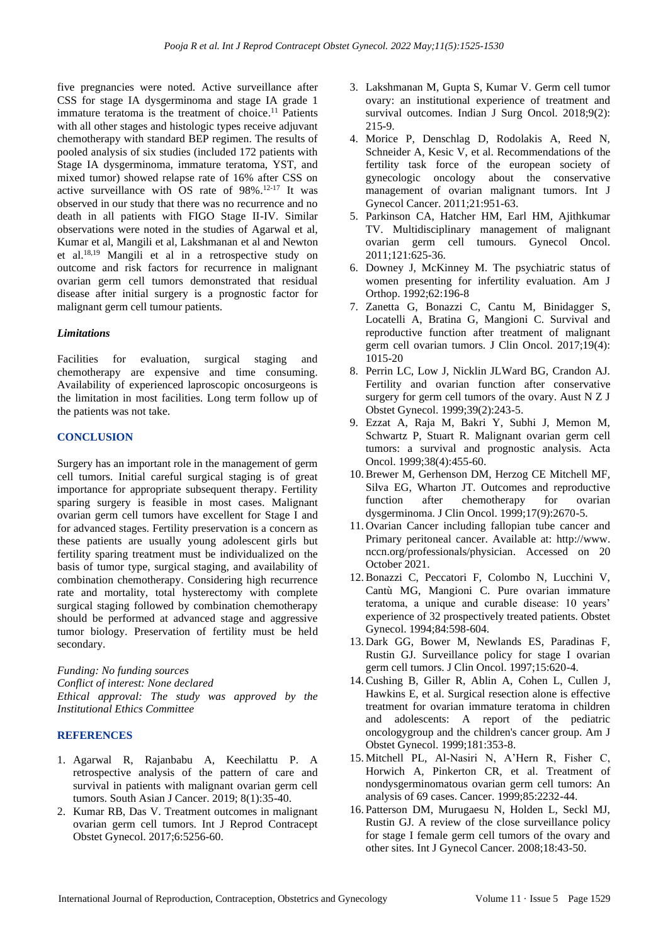five pregnancies were noted. Active surveillance after CSS for stage IA dysgerminoma and stage IA grade 1 immature teratoma is the treatment of choice.<sup>11</sup> Patients with all other stages and histologic types receive adjuvant chemotherapy with standard BEP regimen. The results of pooled analysis of six studies (included 172 patients with Stage IA dysgerminoma, immature teratoma, YST, and mixed tumor) showed relapse rate of 16% after CSS on active surveillance with OS rate of 98%. 12-17 It was observed in our study that there was no recurrence and no death in all patients with FIGO Stage II-IV. Similar observations were noted in the studies of Agarwal et al, Kumar et al, Mangili et al, Lakshmanan et al and Newton et al. 18,19 Mangili et al in a retrospective study on outcome and risk factors for recurrence in malignant ovarian germ cell tumors demonstrated that residual disease after initial surgery is a prognostic factor for malignant germ cell tumour patients.

#### *Limitations*

Facilities for evaluation, surgical staging and chemotherapy are expensive and time consuming. Availability of experienced laproscopic oncosurgeons is the limitation in most facilities. Long term follow up of the patients was not take.

#### **CONCLUSION**

Surgery has an important role in the management of germ cell tumors. Initial careful surgical staging is of great importance for appropriate subsequent therapy. Fertility sparing surgery is feasible in most cases. Malignant ovarian germ cell tumors have excellent for Stage I and for advanced stages. Fertility preservation is a concern as these patients are usually young adolescent girls but fertility sparing treatment must be individualized on the basis of tumor type, surgical staging, and availability of combination chemotherapy. Considering high recurrence rate and mortality, total hysterectomy with complete surgical staging followed by combination chemotherapy should be performed at advanced stage and aggressive tumor biology. Preservation of fertility must be held secondary.

*Funding: No funding sources Conflict of interest: None declared Ethical approval: The study was approved by the Institutional Ethics Committee*

#### **REFERENCES**

- 1. Agarwal R, Rajanbabu A, Keechilattu P. A retrospective analysis of the pattern of care and survival in patients with malignant ovarian germ cell tumors. South Asian J Cancer. 2019; 8(1):35-40.
- 2. Kumar RB, Das V. Treatment outcomes in malignant ovarian germ cell tumors. Int J Reprod Contracept Obstet Gynecol. 2017;6:5256-60.
- 3. Lakshmanan M, Gupta S, Kumar V. Germ cell tumor ovary: an institutional experience of treatment and survival outcomes. Indian J Surg Oncol. 2018;9(2): 215-9.
- 4. Morice P, Denschlag D, Rodolakis A, Reed N, Schneider A, Kesic V, et al. Recommendations of the fertility task force of the european society of gynecologic oncology about the conservative management of ovarian malignant tumors. Int J Gynecol Cancer. 2011;21:951-63.
- 5. Parkinson CA, Hatcher HM, Earl HM, Ajithkumar TV. Multidisciplinary management of malignant ovarian germ cell tumours. Gynecol Oncol. 2011;121:625-36.
- 6. Downey J, McKinney M. The psychiatric status of women presenting for infertility evaluation. Am J Orthop. 1992;62:196-8
- 7. Zanetta G, Bonazzi C, Cantu M, Binidagger S, Locatelli A, Bratina G, Mangioni C. Survival and reproductive function after treatment of malignant germ cell ovarian tumors. J Clin Oncol. 2017;19(4): 1015-20
- 8. Perrin LC, Low J, Nicklin JLWard BG, Crandon AJ. Fertility and ovarian function after conservative surgery for germ cell tumors of the ovary. Aust N Z J Obstet Gynecol. 1999;39(2):243-5.
- 9. Ezzat A, Raja M, Bakri Y, Subhi J, Memon M, Schwartz P, Stuart R. Malignant ovarian germ cell tumors: a survival and prognostic analysis. Acta Oncol. 1999;38(4):455-60.
- 10.Brewer M, Gerhenson DM, Herzog CE Mitchell MF, Silva EG, Wharton JT. Outcomes and reproductive function after chemotherapy for ovarian dysgerminoma. J Clin Oncol. 1999;17(9):2670-5.
- 11. Ovarian Cancer including fallopian tube cancer and Primary peritoneal cancer. Available at: http://www. nccn.org/professionals/physician. Accessed on 20 October 2021.
- 12.Bonazzi C, Peccatori F, Colombo N, Lucchini V, Cantù MG, Mangioni C. Pure ovarian immature teratoma, a unique and curable disease: 10 years' experience of 32 prospectively treated patients. Obstet Gynecol. 1994;84:598-604.
- 13. Dark GG, Bower M, Newlands ES, Paradinas F, Rustin GJ. Surveillance policy for stage I ovarian germ cell tumors. J Clin Oncol. 1997;15:620-4.
- 14.Cushing B, Giller R, Ablin A, Cohen L, Cullen J, Hawkins E, et al. Surgical resection alone is effective treatment for ovarian immature teratoma in children and adolescents: A report of the pediatric oncologygroup and the children's cancer group. Am J Obstet Gynecol. 1999;181:353-8.
- 15. Mitchell PL, Al-Nasiri N, A'Hern R, Fisher C, Horwich A, Pinkerton CR, et al. Treatment of nondysgerminomatous ovarian germ cell tumors: An analysis of 69 cases. Cancer. 1999;85:2232-44.
- 16. Patterson DM, Murugaesu N, Holden L, Seckl MJ, Rustin GJ. A review of the close surveillance policy for stage I female germ cell tumors of the ovary and other sites. Int J Gynecol Cancer. 2008;18:43-50.